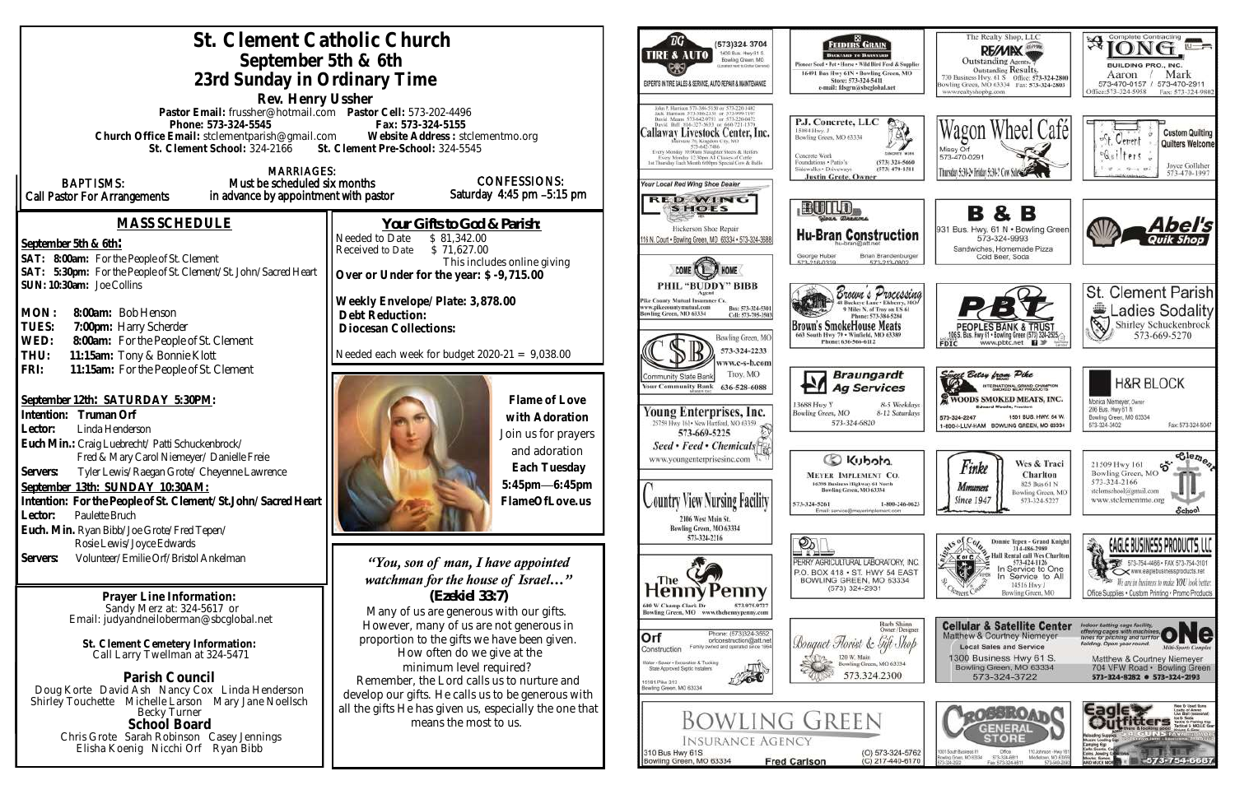